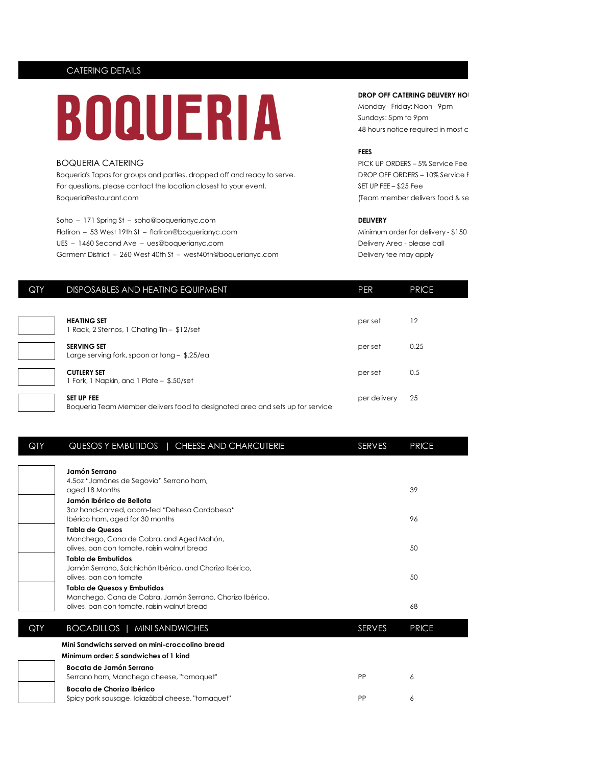# CATERING DETAILS



Boqueria's Tapas for groups and parties, dropped off and ready to serve. DROP OFF ORDERS - 10% Service F For questions, please contact the location closest to your event. SET UP FEE – \$25 Fee BoqueriaRestaurant.com (Team member delivers food & sets up for sets up for sets up for sets up for sets up for sets up for services)

Soho – 171 Spring St – soho@boquerianyc.com **DELIVERY** Flatiron – 53 West 19th St – flatiron@boquerianyc.com Minimum order for delivery - \$150 UES – 1460 Second Ave – ues@boquerianyc.com Delivery Area - please call Garment District – 260 West 40th St – west40th@boquerianyc.com Delivery fee may apply

## **DROP OFF CATERING DELIVERY HO**

Monday - Friday: Noon - 9pm Sundays: 5pm to 9pm 48 hours notice required in most c

### **FEES**

BOQUERIA CATERING PICK UP ORDERS – 5% Service Fee

| QTY | DISPOSABLES AND HEATING EQUIPMENT                                                                  | <b>PER</b>   | <b>PRICE</b> |
|-----|----------------------------------------------------------------------------------------------------|--------------|--------------|
|     |                                                                                                    |              |              |
|     | <b>HEATING SET</b><br>1 Rack, 2 Sternos, 1 Chafing Tin - \$12/set                                  | per set      | 12           |
|     | <b>SERVING SET</b><br>Large serving fork, spoon or tong $-$ \$.25/ea                               | per set      | 0.25         |
|     | <b>CUTLERY SET</b><br>1 Fork, 1 Napkin, and 1 Plate - \$.50/set                                    | per set      | 0.5          |
|     | <b>SET UP FEE</b><br>Boqueria Team Member delivers food to designated area and sets up for service | per delivery | 25           |

| QTY | QUESOS Y EMBUTIDOS   CHEESE AND CHARCUTERIE                                             | SERVES        | <b>PRICE</b> |
|-----|-----------------------------------------------------------------------------------------|---------------|--------------|
|     | Jamón Serrano                                                                           |               |              |
|     | 4.502 "Jamónes de Segovia" Serrano ham,                                                 |               |              |
|     | aged 18 Months                                                                          |               | 39           |
|     | Jamón Ibérico de Bellota                                                                |               |              |
|     | 3oz hand-carved, acorn-fed "Dehesa Cordobesa"                                           |               |              |
|     | Ibérico ham, aged for 30 months                                                         |               | 96           |
|     | <b>Tabla de Quesos</b>                                                                  |               |              |
|     | Manchego, Cana de Cabra, and Aged Mahón,<br>olives, pan con tomate, raisin walnut bread |               | 50           |
|     | Tabla de Embutidos                                                                      |               |              |
|     | Jamón Serrano, Salchichón Ibérico, and Chorizo Ibérico,                                 |               |              |
|     | olives, pan con tomate                                                                  |               | 50           |
|     | <b>Tabla de Quesos y Embutidos</b>                                                      |               |              |
|     | Manchego, Cana de Cabra, Jamón Serrano, Chorizo Ibérico,                                |               |              |
|     | olives, pan con tomate, raisin walnut bread                                             |               | 68           |
| QTY | BOCADILLOS   MINI SANDWICHES                                                            | <b>SERVES</b> | <b>PRICE</b> |
|     | Mini Sandwichs served on mini-croccolino bread                                          |               |              |
|     | Minimum order: 5 sandwiches of 1 kind                                                   |               |              |
|     | Bocata de Jamón Serrano                                                                 |               |              |
|     | Serrano ham, Manchego cheese, "tomaguet"                                                | <b>PP</b>     | 6            |
|     | Bocata de Chorizo Ibérico                                                               |               |              |
|     | Spicy pork sausage, Idiazábal cheese, "tomaquet"                                        | PP            | 6            |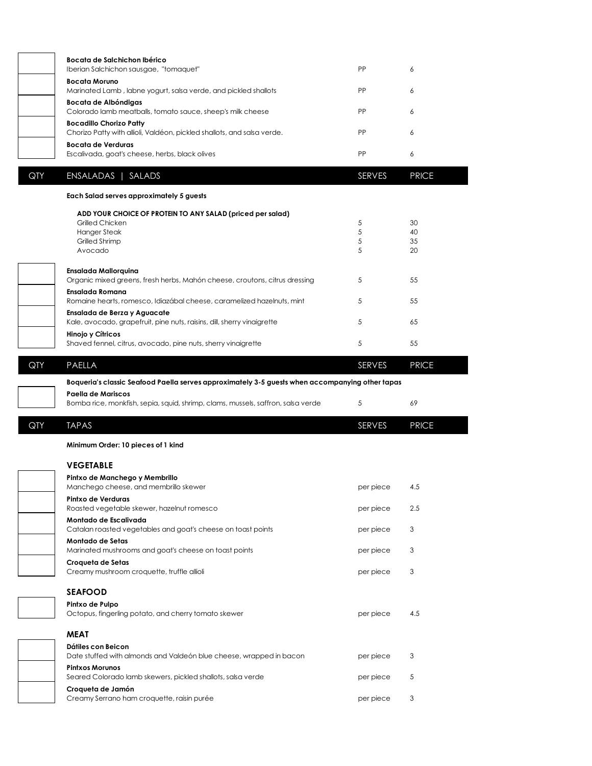|     | Bocata de Salchichon Ibérico<br>Iberian Salchichon sausgae, "tomaquet"                                    | PP            | 6            |  |
|-----|-----------------------------------------------------------------------------------------------------------|---------------|--------------|--|
|     | <b>Bocata Moruno</b><br>Marinated Lamb, labne yogurt, salsa verde, and pickled shallots                   | PP            | 6            |  |
|     | Bocata de Albóndigas<br>Colorado lamb meatballs, tomato sauce, sheep's milk cheese                        | PP            | 6            |  |
|     | <b>Bocadillo Chorizo Patty</b>                                                                            |               |              |  |
|     | Chorizo Patty with allioli, Valdéon, pickled shallots, and salsa verde.<br><b>Bocata de Verduras</b>      | <b>PP</b>     | 6            |  |
|     | Escalivada, goat's cheese, herbs, black olives                                                            | PP            | 6            |  |
| QTY | ENSALADAS   SALADS                                                                                        | <b>SERVES</b> | <b>PRICE</b> |  |
|     | Each Salad serves approximately 5 guests                                                                  |               |              |  |
|     | ADD YOUR CHOICE OF PROTEIN TO ANY SALAD (priced per salad)<br>Grilled Chicken<br><b>Hanger Steak</b>      | 5<br>5        | 30<br>40     |  |
|     | Grilled Shrimp<br>Avocado                                                                                 | 5<br>5        | 35<br>20     |  |
|     | <b>Ensalada Mallorquina</b><br>Organic mixed greens, fresh herbs, Mahón cheese, croutons, citrus dressing | 5             | 55           |  |
|     | Ensalada Romana<br>Romaine hearts, romesco, Idiazábal cheese, caramelized hazelnuts, mint                 | 5             | 55           |  |
|     | Ensalada de Berza y Aguacate<br>Kale, avocado, grapefruit, pine nuts, raisins, dill, sherry vinaigrette   | 5             | 65           |  |
|     | Hinojo y Cítricos<br>Shaved fennel, citrus, avocado, pine nuts, sherry vinaigrette                        | 5             | 55           |  |
| QTY | PAELLA                                                                                                    | <b>SERVES</b> | <b>PRICE</b> |  |
|     | Boqueria's classic Seafood Paella serves approximately 3-5 guests when accompanying other tapas           |               |              |  |
|     | Paella de Mariscos<br>Bomba rice, monkfish, sepia, squid, shrimp, clams, mussels, saffron, salsa verde    | 5             | 69           |  |
| QTY | <b>TAPAS</b>                                                                                              | <b>SERVES</b> | <b>PRICE</b> |  |
|     | Minimum Order: 10 pieces of 1 kind                                                                        |               |              |  |
|     | <b>VEGETABLE</b>                                                                                          |               |              |  |
|     | Pintxo de Manchego y Membrillo<br>Manchego cheese, and membrillo skewer                                   | per piece     | 4.5          |  |
|     | Pintxo de Verduras<br>Roasted vegetable skewer, hazelnut romesco                                          | per piece     | 2.5          |  |
|     | Montado de Escalivada<br>Catalan roasted vegetables and goat's cheese on toast points                     | per piece     | 3            |  |
|     | Montado de Setas<br>Marinated mushrooms and goat's cheese on toast points                                 | per piece     | 3            |  |
|     | Croqueta de Setas<br>Creamy mushroom croquette, truffle allioli                                           | per piece     | 3            |  |
|     |                                                                                                           |               |              |  |
|     | <b>SEAFOOD</b>                                                                                            |               |              |  |
|     | Pintxo de Pulpo<br>Octopus, fingerling potato, and cherry tomato skewer                                   | per piece     | 4.5          |  |
|     | <b>MEAT</b>                                                                                               |               |              |  |
|     | Dátiles con Beicon<br>Date stuffed with almonds and Valdeón blue cheese, wrapped in bacon                 | per piece     | 3            |  |
|     | <b>Pintxos Morunos</b><br>Seared Colorado lamb skewers, pickled shallots, salsa verde                     | per piece     | 5            |  |

 $\begin{bmatrix} \phantom{-} \end{bmatrix}$